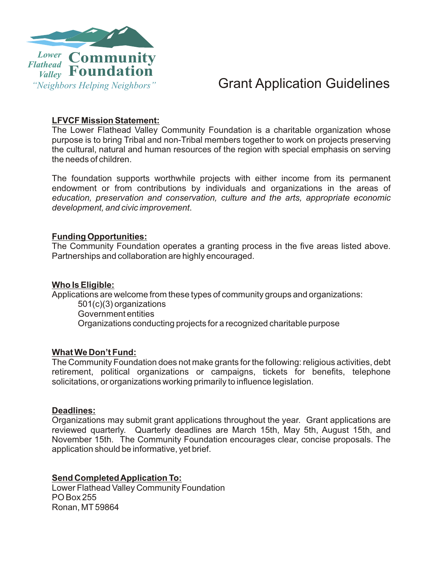

## *"Neighbors Helping Neighbors"* Grant Application Guidelines

### **LFVCF Mission Statement:**

The Lower Flathead Valley Community Foundation is a charitable organization whose purpose is to bring Tribal and non-Tribal members together to work on projects preserving the cultural, natural and human resources of the region with special emphasis on serving the needs of children.

The foundation supports worthwhile projects with either income from its permanent endowment or from contributions by individuals and organizations in the areas of *education, preservation and conservation, culture and the arts, appropriate economic development, and civic improvement*.

### **Funding Opportunities:**

The Community Foundation operates a granting process in the five areas listed above. Partnerships and collaboration are highly encouraged.

#### **Who Is Eligible:**

Applications are welcome from these types of community groups and organizations: 501(c)(3) organizations Government entities

Organizations conducting projects for a recognized charitable purpose

### **What We Don't Fund:**

The Community Foundation does not make grants for the following: religious activities, debt retirement, political organizations or campaigns, tickets for benefits, telephone solicitations, or organizations working primarily to influence legislation.

### **Deadlines:**

Organizations may submit grant applications throughout the year. Grant applications are reviewed quarterly. Quarterly deadlines are March 15th, May 5th, August 15th, and November 15th. The Community Foundation encourages clear, concise proposals. The application should be informative, yet brief.

### **Send Completed Application To:**

Lower Flathead Valley Community Foundation PO Box 255 Ronan, MT59864